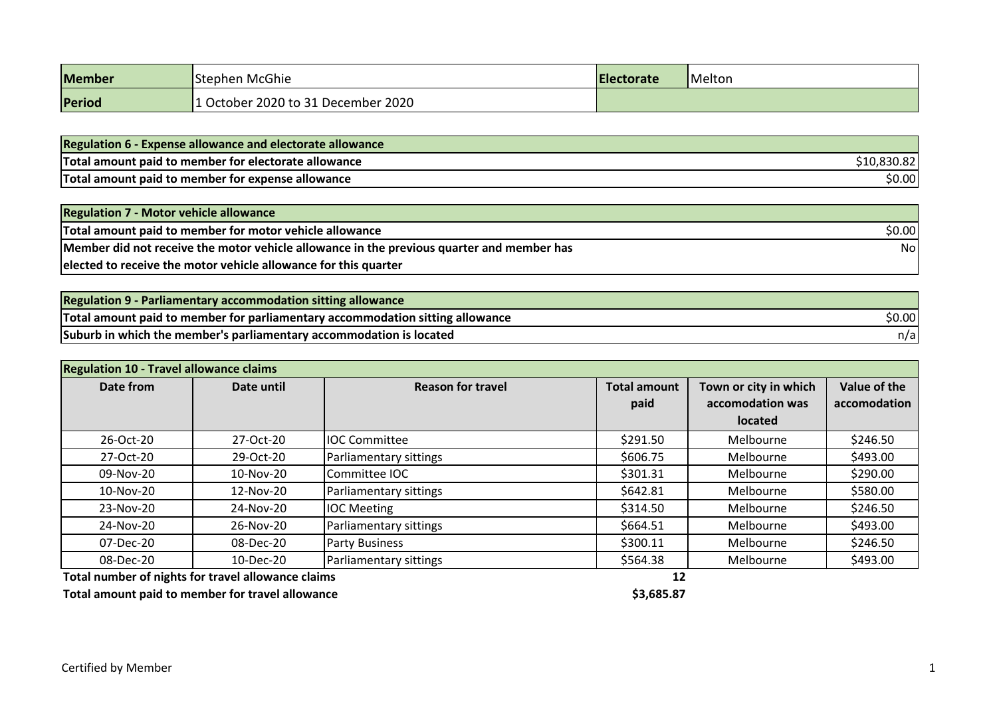| <b>Member</b> | <b>Stephen McGhie</b>            | <b>IElectorate</b> | Melton |
|---------------|----------------------------------|--------------------|--------|
| Period        | October 2020 to 31 December 2020 |                    |        |

| <b>Regulation 6 - Expense allowance and electorate allowance</b> |             |
|------------------------------------------------------------------|-------------|
| Total amount paid to member for electorate allowance             | \$10,830.82 |
| Total amount paid to member for expense allowance                | \$0.00      |

| <b>Regulation 7 - Motor vehicle allowance</b>                                             |        |
|-------------------------------------------------------------------------------------------|--------|
| Total amount paid to member for motor vehicle allowance                                   | \$0.00 |
| Member did not receive the motor vehicle allowance in the previous quarter and member has | Nol    |
| elected to receive the motor vehicle allowance for this quarter                           |        |

| Regulation 9 - Parliamentary accommodation sitting allowance                  |        |
|-------------------------------------------------------------------------------|--------|
| Total amount paid to member for parliamentary accommodation sitting allowance | \$0.00 |
| Suburb in which the member's parliamentary accommodation is located           | n/a    |

| <b>Regulation 10 - Travel allowance claims</b> |            |                          |                     |                       |              |
|------------------------------------------------|------------|--------------------------|---------------------|-----------------------|--------------|
| Date from                                      | Date until | <b>Reason for travel</b> | <b>Total amount</b> | Town or city in which | Value of the |
|                                                |            |                          | paid                | accomodation was      | accomodation |
|                                                |            |                          |                     | located               |              |
| 26-Oct-20                                      | 27-Oct-20  | <b>IIOC Committee</b>    | \$291.50            | Melbourne             | \$246.50     |
| 27-Oct-20                                      | 29-Oct-20  | Parliamentary sittings   | \$606.75            | Melbourne             | \$493.00     |
| 09-Nov-20                                      | 10-Nov-20  | Committee IOC            | \$301.31            | Melbourne             | \$290.00     |
| 10-Nov-20                                      | 12-Nov-20  | Parliamentary sittings   | \$642.81            | Melbourne             | \$580.00     |
| 23-Nov-20                                      | 24-Nov-20  | <b>IOC Meeting</b>       | \$314.50            | Melbourne             | \$246.50     |
| 24-Nov-20                                      | 26-Nov-20  | Parliamentary sittings   | \$664.51            | Melbourne             | \$493.00     |
| 07-Dec-20                                      | 08-Dec-20  | <b>Party Business</b>    | \$300.11            | Melbourne             | \$246.50     |
| 08-Dec-20                                      | 10-Dec-20  | Parliamentary sittings   | \$564.38            | Melbourne             | \$493.00     |

**Total number of nights for travel allowance claims 12**

**Total amount paid to member for travel allowance \$3,685.87**